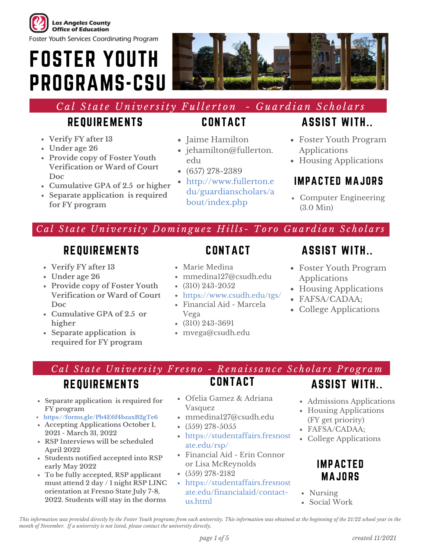

FOSTER YOUTH PROGRAMS-CSU



# Cal State University Fullerton - Guardian Scholars

# REQUIREMENTS

- **Verify FY after 13**
- **Under age 26**
- **Provide copy of Foster Youth Verification or Ward of Court Doc**
- **Cumulative GPA of 2.5 or higher**
- **Separate application is required for FY program**

# CONTACT

- Jaime Hamilton
- jehamilton@fullerton. edu
- $(657)$  278-2389
- http://www.fullerton.e du/guardianscholars/a bout/index.php

# ASSIST WITH..

- Foster Youth Program Applications
- Housing Applications

#### IMPACTED MAJORS

Computer Engineering (3.0 Min)

#### Cal State University Dominguez Hills- Toro Guardian Scholars

#### REQUIREMENTS

- **Verify FY after 13**
- **Under age 26**
- **Provide copy of Foster Youth Verification or Ward of Court Doc**
- **Cumulative GPA of 2.5 or higher**
- **Separate application is required for FY program**

#### **CONTACT**

- Marie Medina
- mmedina127@csudh.edu
- $\cdot$  (310) 243-2052
- https://www.csudh.edu/tgs/
- Financial Aid Marcela Vega
- (310) 243-3691
- mvega@csudh.edu

# ASSIST WITH..

- Foster Youth Program Applications
- Housing Applications
- FAFSA/CADAA;
- College Applications

Cal State University Fresno - Renaissance Scholars Program

# REQUIREMENTS

- **Separate application is required for FY program**
- **https://forms.gle/Pb4E6f4bzaxB2gTe6**
- **Accepting Applications October 1, 2021 - March 31, 2022**
- **RSP Interviews will be scheduled April 2022**
- **Students notified accepted into RSP early May 2022**
- **To be fully accepted, RSP applicant must attend 2 day / 1 night RSP LINC orientation at Fresno State July 7-8, 2022. Students will stay in the dorms**

Ofelia Gamez & Adriana Vasquez

**CONTACT** 

- mmedina127@csudh.edu
- $(559)$  278-5055
- https://studentaffairs.fresnost ate.edu/rsp/
- Financial Aid Erin Connor or Lisa McReynolds
- $(559)$  278-2182
- https://studentaffairs.fresnost ate.edu/financialaid/contactus.html
- ASSIST WITH..
- Admissions Applications
- Housing Applications (FY get priority)
- FAFSA/CADAA;
- College Applications

#### IMPACTED MAJORS

- Nursing
- Social Work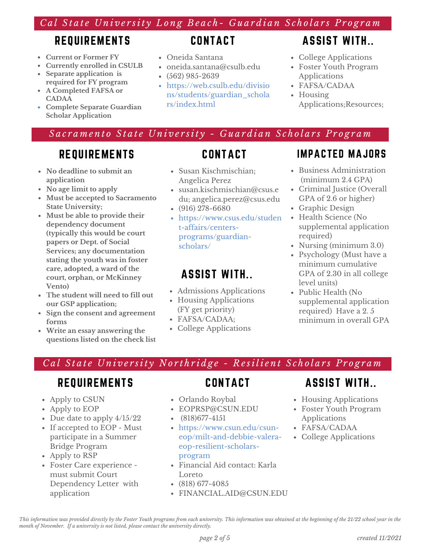#### Cal State University Long Beach- Guardian Scholars Program

# REQUIREMENTS

- **Current or Former FY**
- **Currently enrolled in CSULB**
- **Separate application is required for FY program**
- **A Completed FAFSA or CADAA**
- **Complete Separate Guardian Scholar Application**

#### **CONTACT**

- Oneida Santana
- oneida.santana@csulb.edu
- $(562)$  985-2639
- https://web.csulb.edu/divisio ns/students/guardian\_schola rs/index.html

# ASSIST WITH..

- College Applications
- Foster Youth Program Applications
- FAFSA/CADAA
- Housing Applications;Resources;

#### Sacramento State University - Guardian Scholars Program

# REQUIREMENTS

- **No deadline to submit an application**
- **No age limit to apply**
- **Must be accepted to Sacramento State University;**
- **Must be able to provide their dependency document (typically this would be court papers or Dept. of Social Services; any documentation stating the youth was in foster care, adopted, a ward of the court, orphan, or McKinney Vento)**
- **The student will need to fill out our GSP application;**
- **Sign the consent and agreement forms**
- **Write an essay answering the questions listed on the check list**

- Susan Kischmischian; Angelica Perez
- susan.kischmischian@csus.e du; angelica.perez@csus.edu
- (916) 278-6680
- https://www.csus.edu/studen t-affairs/centersprograms/guardianscholars/

#### ASSIST WITH..

- Admissions Applications
- Housing Applications (FY get priority)
- FAFSA/CADAA;
- College Applications

#### IMPACTED MAJORS

- Business Administration (minimum 2.4 GPA)
- Criminal Justice (Overall GPA of 2.6 or higher)
- Graphic Design
- Health Science (No supplemental application required)
- Nursing (minimum 3.0)
- Psychology (Must have a minimum cumulative GPA of 2.30 in all college level units)
- Public Health (No supplemental application required) Have a 2. 5 minimum in overall GPA

#### Cal State University Northridge - Resilient Scholars Program

#### REQUIREMENTS

- Apply to CSUN
- Apply to EOP
- Due date to apply  $4/15/22$
- If accepted to EOP Must participate in a Summer Bridge Program
- Apply to RSP
- Foster Care experience must submit Court Dependency Letter with application

#### CONTACT

- Orlando Roybal
- EOPRSP@CSUN.EDU
- $\cdot$  (818) 677-4151
- https://www.csun.edu/csuneop/milt-and-debbie-valeraeop-resilient-scholarsprogram
- Financial Aid contact: Karla Loreto
- (818) 677-4085
- FINANCIAL.AID@CSUN.EDU

#### ASSIST WITH..

- Housing Applications
- Foster Youth Program Applications
- FAFSA/CADAA
- College Applications

This information was provided directly by the Foster Youth programs from each university. This information was obtained at the beginning of the 21/22 school year in the *month of November. If a university is not listed, please contact the university directly.*

# **CONTACT**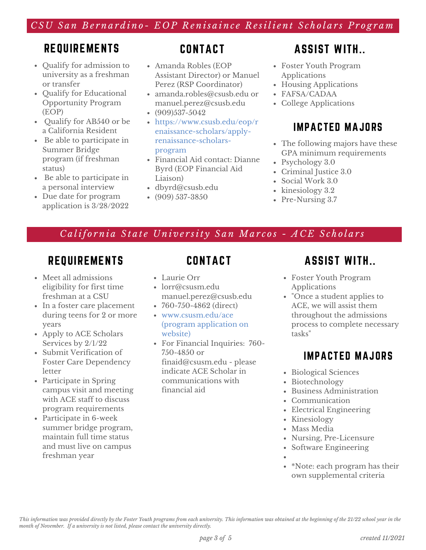#### CSU San Bernardino- EOP Renisaince Resilient Scholars Program

# REQUIREMENTS

- Qualify for admission to university as a freshman or transfer
- Qualify for Educational Opportunity Program (EOP)
- Oualify for AB540 or be a California Resident
- Be able to participate in Summer Bridge program (if freshman status)
- Be able to participate in a personal interview
- Due date for program application is 3/28/2022

# **CONTACT**

- Amanda Robles (EOP Assistant Director) or Manuel Perez (RSP Coordinator)
- amanda.robles@csusb.edu or manuel.perez@csusb.edu
- $(909)537-5042$
- https://www.csusb.edu/eop/r enaissance-scholars/applyrenaissance-scholarsprogram
- Financial Aid contact: Dianne Byrd (EOP Financial Aid Liaison)
- dbyrd@csusb.edu
- $(909) 537 3850$

#### ASSIST WITH..

- Foster Youth Program Applications
- Housing Applications
- FAFSA/CADAA
- College Applications

### IMPACTED MAJORS

- The following majors have these GPA minimum requirements
- Psychology 3.0
- Criminal Justice 3.0
- Social Work 3.0
- kinesiology 3.2
- Pre-Nursing 3.7

#### California State University San Marcos - ACE Scholars

# REQUIREMENTS

- Meet all admissions eligibility for first time freshman at a CSU
- In a foster care placement during teens for 2 or more years
- Apply to ACE Scholars Services by 2/1/22
- Submit Verification of Foster Care Dependency letter
- Participate in Spring campus visit and meeting with ACE staff to discuss program requirements
- Participate in 6-week summer bridge program, maintain full time status and must live on campus freshman year

# **CONTACT**

- Laurie Orr
- lorr@csusm.edu manuel.perez@csusb.edu
- 760-750-4862 (direct)
- www.csusm.edu/ace (program application on website)
- For Financial Inquiries: 760- 750-4850 or finaid@csusm.edu - please indicate ACE Scholar in communications with financial aid

# ASSIST WITH..

- Foster Youth Program Applications
- "Once a student applies to ACE, we will assist them throughout the admissions process to complete necessary tasks "

#### IMPACTED MAJORS

- Biological Sciences
- Biotechnology
- Business Administration
- Communication
- Electrical Engineering
- Kinesiology
- Mass Media
- Nursing, Pre-Licensure
- Software Engineering
- \*Note: each program has their own supplemental criteria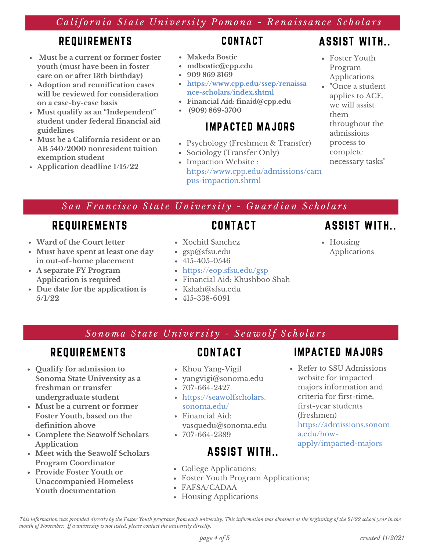#### California State University Pomona - Renaissance Scholars

#### REQUIREMENTS

- **Must be a current or former foster youth (must have been in foster care on or after 13th birthday)**
- **Adoption and reunification cases will be reviewed for consideration on a case-by-case basis**
- **Must qualify as an "Independent" student under federal financial aid guidelines**
- **Must be a California resident or an AB 540/2000 nonresident tuition exemption student**
- **Application deadline 1/15/22**

#### CONTACT

- **Makeda Bostic**
- **mdbostic@cpp.edu**
- **909 869 3169**
- **https://www.cpp.edu/ssep/renaissa nce-scholars/index.shtml**
- **Financial Aid: finaid@cpp.edu**
- **(909) 869-3700**

### IMPACTED MAJORS

- Psychology (Freshmen & Transfer)
- Sociology (Transfer Only)
- Impaction Website : https://www.cpp.edu/admissions/cam pus-impaction.shtml

# ASSIST WITH..

- Foster Youth Program Applications
- "Once a student applies to ACE, we will assist them throughout the admissions process to complete necessary tasks "

#### San Francisco State University - Guardian Scholars

# REQUIREMENTS

- **Ward of the Court letter**
- **Must have spent at least one day in out-of-home placement**
- **A separate FY Program Application is required**
- **Due date for the application is 5/1/22**
- **CONTACT**
- Xochitl Sanchez
- gsp@sfsu.edu
- $-415-405-0546$
- https://eop.sfsu.edu/gsp
- Financial Aid: Khushboo Shah
- Kshah@sfsu.edu
- $-415-338-6091$

# ASSIST WITH..

• Housing Applications

Sonoma State University - Seawolf Scholars

# REQUIREMENTS

- **Qualify for admission to Sonoma State University as a freshman or transfer undergraduate student**
- **Must be a current or former Foster Youth, based on the definition above**
- **Complete the Seawolf Scholars Application**
- **Meet with the Seawolf Scholars Program Coordinator**
- **Provide Foster Youth or Unaccompanied Homeless Youth documentation**

# CONTACT

- Khou Yang-Vigil
- yangvigi@sonoma.edu
- $-707-664-2427$
- https://seawolfscholars. sonoma.edu/
- Financial Aid: vasquedu@sonoma.edu  $-707-664-2389$ 
	- ASSIST WITH..
- College Applications;
- Foster Youth Program Applications;
- FAFSA/CADAA
- Housing Applications

# IMPACTED MAJORS

• Refer to SSU Admissions website for impacted majors information and criteria for first-time, first-year students (freshmen) https://admissions.sonom a.edu/howapply/impacted-majors